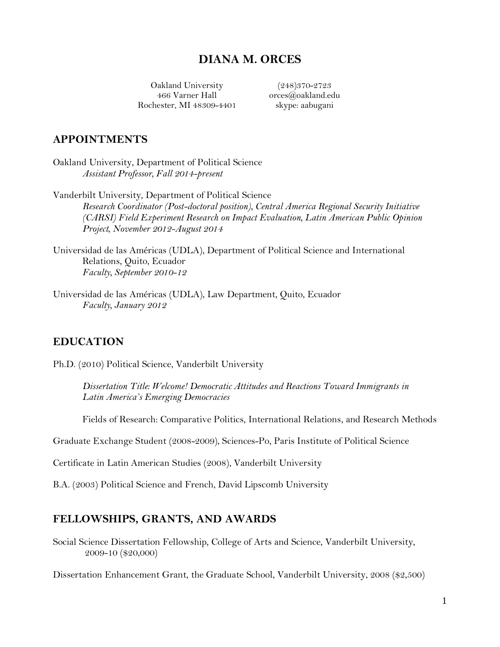# **DIANA M. ORCES**

Oakland University 466 Varner Hall Rochester, MI 48309-4401

(248)370-2723 [orces@oakland.](mailto:diana.m.orces@gmail.com)edu skype: aabugani

#### **APPOINTMENTS**

Oakland University, Department of Political Science *Assistant Professor, Fall 2014-present*

Vanderbilt University, Department of Political Science *Research Coordinator (Post-doctoral position), Central America Regional Security Initiative (CARSI) Field Experiment Research on Impact Evaluation, Latin American Public Opinion Project, November 2012-August 2014*

Universidad de las Américas (UDLA), Department of Political Science and International Relations, Quito, Ecuador *Faculty, September 2010-12*

Universidad de las Américas (UDLA), Law Department, Quito, Ecuador *Faculty, January 2012*

#### **EDUCATION**

Ph.D. (2010) Political Science, Vanderbilt University

*Dissertation Title: Welcome! Democratic Attitudes and Reactions Toward Immigrants in Latin America's Emerging Democracies*

Fields of Research: Comparative Politics, International Relations, and Research Methods

Graduate Exchange Student (2008-2009), Sciences-Po, Paris Institute of Political Science

Certificate in Latin American Studies (2008), Vanderbilt University

B.A. (2003) Political Science and French, David Lipscomb University

#### **FELLOWSHIPS, GRANTS, AND AWARDS**

Social Science Dissertation Fellowship, College of Arts and Science, Vanderbilt University, 2009-10 (\$20,000)

Dissertation Enhancement Grant, the Graduate School, Vanderbilt University, 2008 (\$2,500)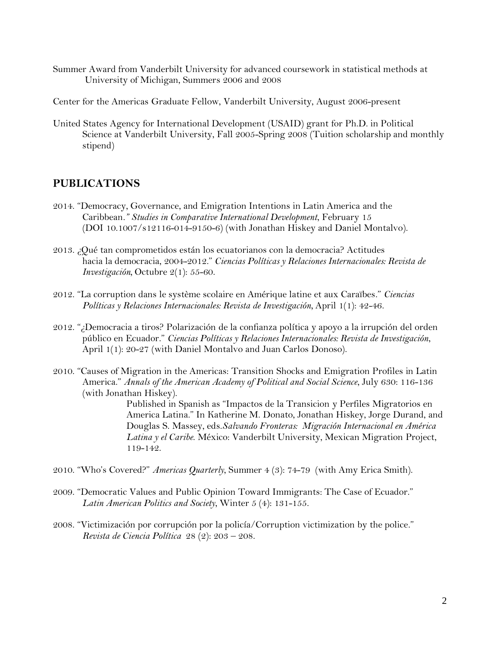- Summer Award from Vanderbilt University for advanced coursework in statistical methods at University of Michigan, Summers 2006 and 2008
- Center for the Americas Graduate Fellow, Vanderbilt University, August 2006-present
- United States Agency for International Development (USAID) grant for Ph.D. in Political Science at Vanderbilt University, Fall 2005-Spring 2008 (Tuition scholarship and monthly stipend)

#### **PUBLICATIONS**

- 2014. "Democracy, Governance, and Emigration Intentions in Latin America and the Caribbean*." Studies in Comparative International Development*, February 15 (DOI 10.1007/s12116-014-9150-6) (with Jonathan Hiskey and Daniel Montalvo).
- 2013. ¿Qué tan comprometidos están los ecuatorianos con la democracia? Actitudes hacia la democracia, 2004-2012." *Ciencias Políticas y Relaciones Internacionales: Revista de Investigación,* Octubre 2(1): 55-60.
- 2012. "La corruption dans le système scolaire en Amérique latine et aux Caraïbes." *Ciencias Políticas y Relaciones Internacionales: Revista de Investigación,* April 1(1): 42-46.
- 2012. "¿Democracia a tiros? Polarización de la confianza política y apoyo a la irrupción del orden público en Ecuador." *Ciencias Políticas y Relaciones Internacionales: Revista de Investigación*, April 1(1): 20-27 (with Daniel Montalvo and Juan Carlos Donoso).
- 2010. "Causes of Migration in the Americas: Transition Shocks and Emigration Profiles in Latin America." *Annals of the American Academy of Political and Social Science*, July 630: 116-136 (with Jonathan Hiskey).

Published in Spanish as "Impactos de la Transicion y Perfiles Migratorios en America Latina." In Katherine M. Donato, Jonathan Hiskey, Jorge Durand, and Douglas S. Massey, eds.*Salvando Fronteras: Migración Internacional en América Latina y el Caribe*. México: Vanderbilt University, Mexican Migration Project, 119-142.

- 2010. "Who's Covered?" *Americas Quarterly*, Summer 4 (3): 74-79 (with Amy Erica Smith).
- 2009. "Democratic Values and Public Opinion Toward Immigrants: The Case of Ecuador." *Latin American Politics and Society*, Winter 5 (4): 131-155.
- 2008. "Victimización por corrupción por la policía/Corruption victimization by the police." *Revista de Ciencia Política* 28 (2): 203 – 208.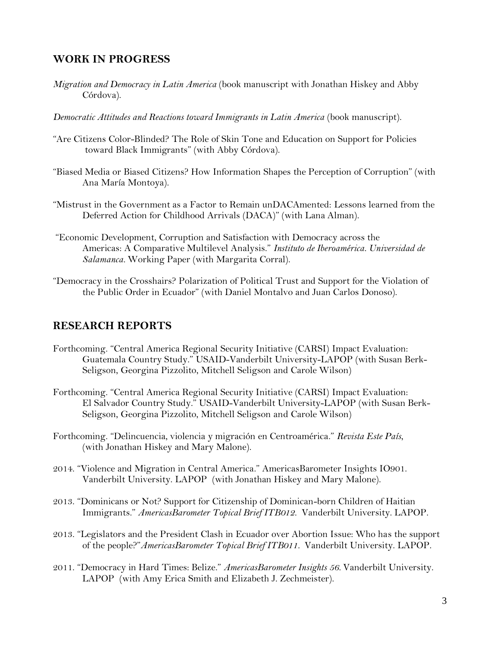### **WORK IN PROGRESS**

- *Migration and Democracy in Latin America* (book manuscript with Jonathan Hiskey and Abby Córdova).
- *Democratic Attitudes and Reactions toward Immigrants in Latin America* (book manuscript).
- "Are Citizens Color-Blinded? The Role of Skin Tone and Education on Support for Policies toward Black Immigrants" (with Abby Córdova).
- "Biased Media or Biased Citizens? How Information Shapes the Perception of Corruption" (with Ana María Montoya).
- "Mistrust in the Government as a Factor to Remain unDACAmented: Lessons learned from the Deferred Action for Childhood Arrivals (DACA)" (with Lana Alman).
- "Economic Development, Corruption and Satisfaction with Democracy across the Americas: A Comparative Multilevel Analysis." *Instituto de Iberoamérica. Universidad de Salamanca.* Working Paper (with Margarita Corral).
- "Democracy in the Crosshairs? Polarization of Political Trust and Support for the Violation of the Public Order in Ecuador" (with Daniel Montalvo and Juan Carlos Donoso).

### **RESEARCH REPORTS**

- Forthcoming. "Central America Regional Security Initiative (CARSI) Impact Evaluation: Guatemala Country Study." USAID-Vanderbilt University-LAPOP (with Susan Berk-Seligson, Georgina Pizzolito, Mitchell Seligson and Carole Wilson)
- Forthcoming. "Central America Regional Security Initiative (CARSI) Impact Evaluation: El Salvador Country Study." USAID-Vanderbilt University-LAPOP (with Susan Berk-Seligson, Georgina Pizzolito, Mitchell Seligson and Carole Wilson)
- Forthcoming. "Delincuencia, violencia y migración en Centroamérica." *Revista Este País*, (with Jonathan Hiskey and Mary Malone).
- 2014. "Violence and Migration in Central America." AmericasBarometer Insights IO901. Vanderbilt University. LAPOP (with Jonathan Hiskey and Mary Malone).
- 2013. "Dominicans or Not? Support for Citizenship of Dominican-born Children of Haitian Immigrants." *AmericasBarometer Topical Brief ITB012.* Vanderbilt University. LAPOP.
- 2013. "Legislators and the President Clash in Ecuador over Abortion Issue: Who has the support of the people?"*AmericasBarometer Topical Brief ITB011.* Vanderbilt University. LAPOP.
- 2011. "Democracy in Hard Times: Belize." *AmericasBarometer Insights 56.* Vanderbilt University. LAPOP (with Amy Erica Smith and Elizabeth J. Zechmeister).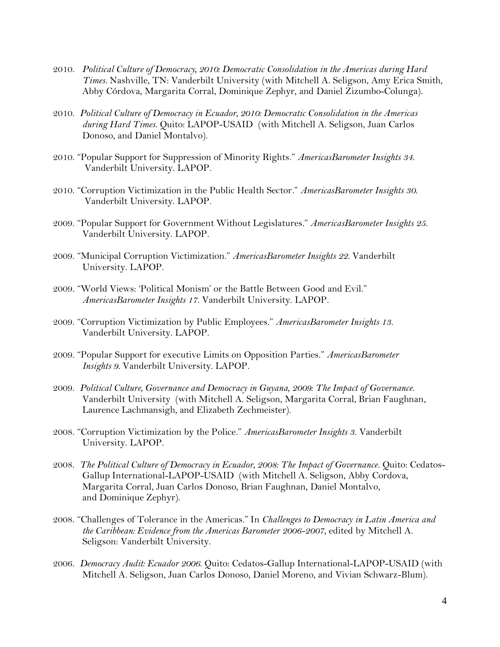- 2010. *Political Culture of Democracy, 2010: Democratic Consolidation in the Americas during Hard Times.* Nashville, TN: Vanderbilt University (with Mitchell A. Seligson, Amy Erica Smith, Abby Córdova, Margarita Corral, Dominique Zephyr, and Daniel Zizumbo-Colunga).
- 2010. *Political Culture of Democracy in Ecuador, 2010: Democratic Consolidation in the Americas during Hard Times.* Quito: LAPOP-USAID (with Mitchell A. Seligson, Juan Carlos Donoso, and Daniel Montalvo).
- 2010. "Popular Support for Suppression of Minority Rights." *AmericasBarometer Insights 34.* Vanderbilt University. LAPOP.
- 2010. "Corruption Victimization in the Public Health Sector." *AmericasBarometer Insights 30.* Vanderbilt University. LAPOP.
- 2009. "Popular Support for Government Without Legislatures." *AmericasBarometer Insights 25.* Vanderbilt University. LAPOP.
- 2009. "Municipal Corruption Victimization." *AmericasBarometer Insights 22.* Vanderbilt University. LAPOP.
- 2009. "World Views: 'Political Monism' or the Battle Between Good and Evil." *AmericasBarometer Insights 17.* Vanderbilt University. LAPOP.
- 2009. "Corruption Victimization by Public Employees." *AmericasBarometer Insights 13.* Vanderbilt University. LAPOP.
- 2009. "Popular Support for executive Limits on Opposition Parties." *AmericasBarometer Insights 9.* Vanderbilt University. LAPOP.
- 2009. *Political Culture, Governance and Democracy in Guyana, 2009: The Impact of Governance*. Vanderbilt University (with Mitchell A. Seligson, Margarita Corral, Brian Faughnan, Laurence Lachmansigh, and Elizabeth Zechmeister).
- 2008. "Corruption Victimization by the Police." *AmericasBarometer Insights 3.* Vanderbilt University. LAPOP.
- 2008. *The Political Culture of Democracy in Ecuador, 2008: The Impact of Governance*. Quito: Cedatos-Gallup International-LAPOP-USAID (with Mitchell A. Seligson, Abby Cordova, Margarita Corral, Juan Carlos Donoso, Brian Faughnan, Daniel Montalvo, and Dominique Zephyr).
- 2008. "Challenges of Tolerance in the Americas." In *Challenges to Democracy in Latin America and the Caribbean: Evidence from the Americas Barometer 2006-2007*, edited by Mitchell A. Seligson: Vanderbilt University.
- 2006. *Democracy Audit: Ecuador 2006*. Quito: Cedatos-Gallup International-LAPOP-USAID (with Mitchell A. Seligson, Juan Carlos Donoso, Daniel Moreno, and Vivian Schwarz-Blum).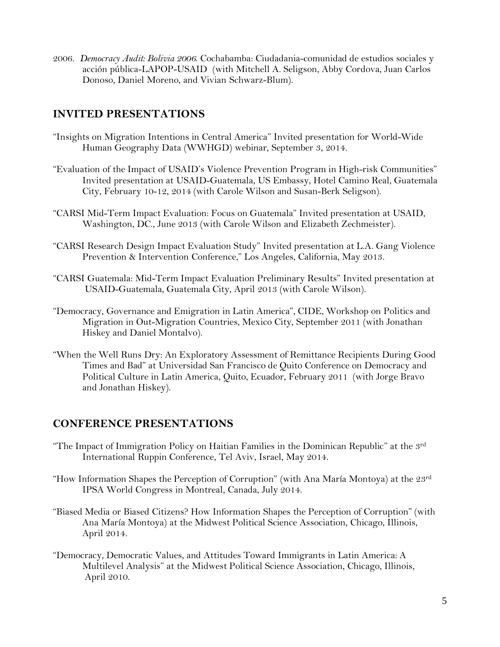2006. *Democracy Audit: Bolivia 2006*. Cochabamba: Ciudadania-comunidad de estudios sociales y acción pública-LAPOP-USAID (with Mitchell A. Seligson, Abby Cordova, Juan Carlos Donoso, Daniel Moreno, and Vivian Schwarz-Blum).

# **INVITED PRESENTATIONS**

- "Insights on Migration Intentions in Central America" Invited presentation for World-Wide Human Geography Data (WWHGD) webinar, September 3, 2014.
- "Evaluation of the Impact of USAID's Violence Prevention Program in High-risk Communities" Invited presentation at USAID-Guatemala, US Embassy, Hotel Camino Real, Guatemala City, February 10-12, 2014 (with Carole Wilson and Susan-Berk Seligson).
- "CARSI Mid-Term Impact Evaluation: Focus on Guatemala" Invited presentation at USAID, Washington, DC., June 2013 (with Carole Wilson and Elizabeth Zechmeister).
- "CARSI Research Design Impact Evaluation Study" Invited presentation at L.A. Gang Violence Prevention & Intervention Conference," Los Angeles, California, May 2013.
- "CARSI Guatemala: Mid-Term Impact Evaluation Preliminary Results" Invited presentation at USAID-Guatemala, Guatemala City, April 2013 (with Carole Wilson).
- "Democracy, Governance and Emigration in Latin America", CIDE, Workshop on Politics and Migration in Out-Migration Countries, Mexico City, September 2011 (with Jonathan Hiskey and Daniel Montalvo).
- "When the Well Runs Dry: An Exploratory Assessment of Remittance Recipients During Good Times and Bad" at Universidad San Francisco de Quito Conference on Democracy and Political Culture in Latin America, Quito, Ecuador, February 2011 (with Jorge Bravo and Jonathan Hiskey).

## **CONFERENCE PRESENTATIONS**

- "The Impact of Immigration Policy on Haitian Families in the Dominican Republic" at the 3rd International Ruppin Conference, Tel Aviv, Israel, May 2014.
- "How Information Shapes the Perception of Corruption" (with Ana María Montoya) at the 23<sup>rd</sup> IPSA World Congress in Montreal, Canada, July 2014.
- "Biased Media or Biased Citizens? How Information Shapes the Perception of Corruption" (with Ana María Montoya) at the Midwest Political Science Association, Chicago, Illinois, April 2014.
- "Democracy, Democratic Values, and Attitudes Toward Immigrants in Latin America: A Multilevel Analysis" at the Midwest Political Science Association, Chicago, Illinois, April 2010.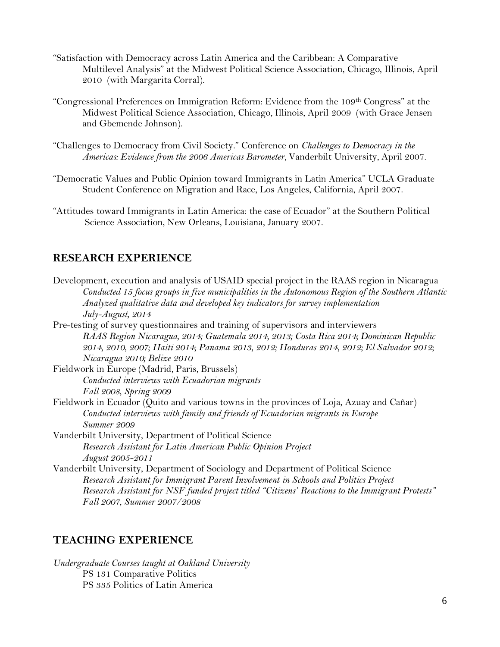- "Satisfaction with Democracy across Latin America and the Caribbean: A Comparative Multilevel Analysis" at the Midwest Political Science Association, Chicago, Illinois, April 2010 (with Margarita Corral).
- "Congressional Preferences on Immigration Reform: Evidence from the 109<sup>th</sup> Congress" at the Midwest Political Science Association, Chicago, Illinois, April 2009 (with Grace Jensen and Gbemende Johnson).
- "Challenges to Democracy from Civil Society." Conference on *Challenges to Democracy in the Americas: Evidence from the 2006 Americas Barometer,* Vanderbilt University, April 2007.
- "Democratic Values and Public Opinion toward Immigrants in Latin America" UCLA Graduate Student Conference on Migration and Race, Los Angeles, California, April 2007.
- "Attitudes toward Immigrants in Latin America: the case of Ecuador" at the Southern Political Science Association, New Orleans, Louisiana, January 2007.

#### **RESEARCH EXPERIENCE**

Development, execution and analysis of USAID special project in the RAAS region in Nicaragua *Conducted 15 focus groups in five municipalities in the Autonomous Region of the Southern Atlantic Analyzed qualitative data and developed key indicators for survey implementation July-August, 2014* Pre-testing of survey questionnaires and training of supervisors and interviewers *RAAS Region Nicaragua, 2014; Guatemala 2014, 2013; Costa Rica 2014; Dominican Republic 2014, 2010, 2007; Haiti 2014; Panama 2013, 2012; Honduras 2014, 2012; El Salvador 2012; Nicaragua 2010; Belize 2010* Fieldwork in Europe (Madrid, Paris, Brussels) *Conducted interviews with Ecuadorian migrants Fall 2008, Spring 2009* Fieldwork in Ecuador (Quito and various towns in the provinces of Loja, Azuay and Cañar) *Conducted interviews with family and friends of Ecuadorian migrants in Europe Summer 2009* Vanderbilt University, Department of Political Science *Research Assistant for Latin American Public Opinion Project August 2005-2011* Vanderbilt University, Department of Sociology and Department of Political Science *Research Assistant for Immigrant Parent Involvement in Schools and Politics Project Research Assistant for NSF funded project titled "Citizens' Reactions to the Immigrant Protests" Fall 2007, Summer 2007/2008*

#### **TEACHING EXPERIENCE**

*Undergraduate Courses taught at Oakland University* PS 131 Comparative Politics PS 335 Politics of Latin America